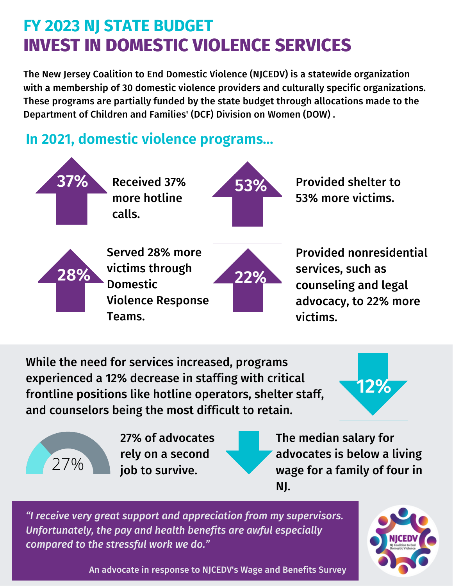# **FY 2023 NJ STATE BUDGET INVEST IN DOMESTIC VIOLENCE SERVICES**

The New Jersey Coalition to End Domestic Violence (NJCEDV) is a statewide organization with a membership of 30 domestic violence providers and culturally specific organizations. These programs are partially funded by the state budget through allocations made to the Department of Children and Families' (DCF) Division on Women (DOW) .

## **In 2021, domestic violence programs...**



counseling and legal advocacy, to 22% more victims.

While the need for services increased, programs experienced a 12% decrease in staffing with critical frontline positions like hotline operators, shelter staff, and counselors being the most difficult to retain.

Violence Response

Teams.





ࠁ7% of advocates rely on a second job to survive.

The median salary for advocates is below a living wage for a family of four in NJ.

*"I receive very great support and appreciation from my supervisors. Unfortunately, the pay and health benefits are awful especially compared to the stressful work we do."*



An advocate in response to NJCEDV's Wage and Benefits Survey